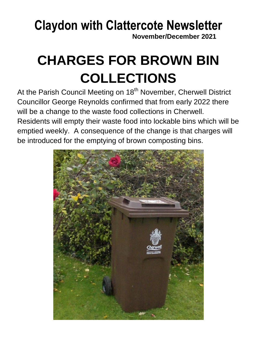## **Claydon with Clattercote Newsletter**

**November/December 2021**

# **CHARGES FOR BROWN BIN COLLECTIONS**

At the Parish Council Meeting on 18<sup>th</sup> November, Cherwell District Councillor George Reynolds confirmed that from early 2022 there will be a change to the waste food collections in Cherwell. Residents will empty their waste food into lockable bins which will be emptied weekly. A consequence of the change is that charges will be introduced for the emptying of brown composting bins.

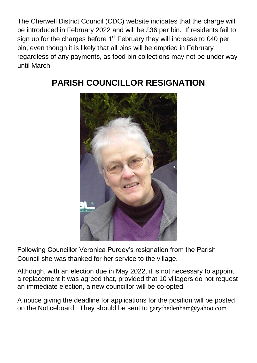The Cherwell District Council (CDC) website indicates that the charge will be introduced in February 2022 and will be £36 per bin. If residents fail to sign up for the charges before  $1<sup>st</sup>$  February they will increase to £40 per bin, even though it is likely that all bins will be emptied in February regardless of any payments, as food bin collections may not be under way until March.



### **PARISH COUNCILLOR RESIGNATION**

Following Councillor Veronica Purdey's resignation from the Parish Council she was thanked for her service to the village.

Although, with an election due in May 2022, it is not necessary to appoint a replacement it was agreed that, provided that 10 villagers do not request an immediate election, a new councillor will be co-opted.

A notice giving the deadline for applications for the position will be posted on the Noticeboard. They should be sent to garythedenham@yahoo.com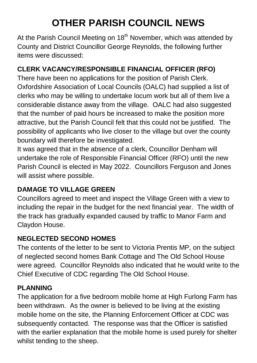## **OTHER PARISH COUNCIL NEWS**

At the Parish Council Meeting on 18<sup>th</sup> November, which was attended by County and District Councillor George Reynolds, the following further items were discussed:

### **CLERK VACANCY/RESPONSIBLE FINANCIAL OFFICER (RFO)**

There have been no applications for the position of Parish Clerk. Oxfordshire Association of Local Councils (OALC) had supplied a list of clerks who may be willing to undertake locum work but all of them live a considerable distance away from the village. OALC had also suggested that the number of paid hours be increased to make the position more attractive, but the Parish Council felt that this could not be justified. The possibility of applicants who live closer to the village but over the county boundary will therefore be investigated.

It was agreed that in the absence of a clerk, Councillor Denham will undertake the role of Responsible Financial Officer (RFO) until the new Parish Council is elected in May 2022. Councillors Ferguson and Jones will assist where possible.

### **DAMAGE TO VILLAGE GREEN**

Councillors agreed to meet and inspect the Village Green with a view to including the repair in the budget for the next financial year. The width of the track has gradually expanded caused by traffic to Manor Farm and Claydon House.

### **NEGLECTED SECOND HOMES**

The contents of the letter to be sent to Victoria Prentis MP, on the subject of neglected second homes Bank Cottage and The Old School House were agreed. Councillor Reynolds also indicated that he would write to the Chief Executive of CDC regarding The Old School House.

### **PLANNING**

The application for a five bedroom mobile home at High Furlong Farm has been withdrawn. As the owner is believed to be living at the existing mobile home on the site, the Planning Enforcement Officer at CDC was subsequently contacted. The response was that the Officer is satisfied with the earlier explanation that the mobile home is used purely for shelter whilst tending to the sheep.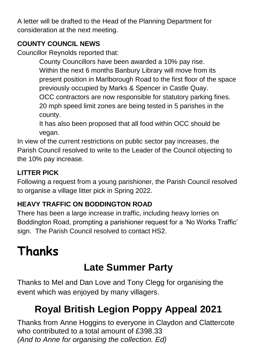A letter will be drafted to the Head of the Planning Department for consideration at the next meeting.

### **COUNTY COUNCIL NEWS**

Councillor Reynolds reported that:

County Councillors have been awarded a 10% pay rise. Within the next 6 months Banbury Library will move from its present position in Marlborough Road to the first floor of the space previously occupied by Marks & Spencer in Castle Quay. OCC contractors are now responsible for statutory parking fines. 20 mph speed limit zones are being tested in 5 parishes in the county.

It has also been proposed that all food within OCC should be vegan.

In view of the current restrictions on public sector pay increases, the Parish Council resolved to write to the Leader of the Council objecting to the 10% pay increase.

### **LITTER PICK**

Following a request from a young parishioner, the Parish Council resolved to organise a village litter pick in Spring 2022.

### **HEAVY TRAFFIC ON BODDINGTON ROAD**

There has been a large increase in traffic, including heavy lorries on Boddington Road, prompting a parishioner request for a 'No Works Traffic' sign. The Parish Council resolved to contact HS2.

# **Thanks**

### **Late Summer Party**

Thanks to Mel and Dan Love and Tony Clegg for organising the event which was enjoyed by many villagers.

### **Royal British Legion Poppy Appeal 2021**

Thanks from Anne Hoggins to everyone in Claydon and Clattercote who contributed to a total amount of £398,33 *(And to Anne for organising the collection. Ed)*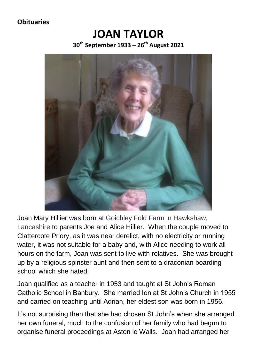#### **Obituaries**

### **JOAN TAYLOR 30th September 1933 – 26 th August 2021**



Joan Mary Hillier was born at Goichley Fold Farm in Hawkshaw, Lancashire to parents Joe and Alice Hillier. When the couple moved to Clattercote Priory, as it was near derelict, with no electricity or running water, it was not suitable for a baby and, with Alice needing to work all hours on the farm, Joan was sent to live with relatives. She was brought up by a religious spinster aunt and then sent to a draconian boarding school which she hated.

Joan qualified as a teacher in 1953 and taught at St John's Roman Catholic School in Banbury. She married Ion at St John's Church in 1955 and carried on teaching until Adrian, her eldest son was born in 1956.

It's not surprising then that she had chosen St John's when she arranged her own funeral, much to the confusion of her family who had begun to organise funeral proceedings at Aston le Walls. Joan had arranged her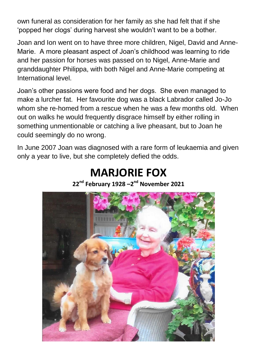own funeral as consideration for her family as she had felt that if she 'popped her clogs' during harvest she wouldn't want to be a bother.

Joan and Ion went on to have three more children, Nigel, David and Anne-Marie. A more pleasant aspect of Joan's childhood was learning to ride and her passion for horses was passed on to Nigel, Anne-Marie and granddaughter Philippa, with both Nigel and Anne-Marie competing at International level.

Joan's other passions were food and her dogs. She even managed to make a lurcher fat. Her favourite dog was a black Labrador called Jo-Jo whom she re-homed from a rescue when he was a few months old. When out on walks he would frequently disgrace himself by either rolling in something unmentionable or catching a live pheasant, but to Joan he could seemingly do no wrong.

In June 2007 Joan was diagnosed with a rare form of leukaemia and given only a year to live, but she completely defied the odds.

### **MARJORIE FOX**

**22nd February 1928 –2 nd November 2021**

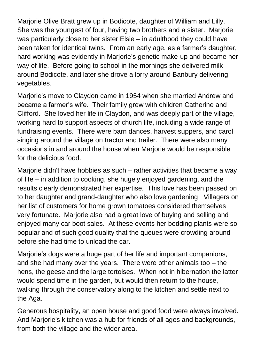Mariorie Olive Bratt grew up in Bodicote, daughter of William and Lilly. She was the youngest of four, having two brothers and a sister. Marjorie was particularly close to her sister Elsie – in adulthood they could have been taken for identical twins. From an early age, as a farmer's daughter, hard working was evidently in Marjorie's genetic make-up and became her way of life. Before going to school in the mornings she delivered milk around Bodicote, and later she drove a lorry around Banbury delivering vegetables.

Marjorie's move to Claydon came in 1954 when she married Andrew and became a farmer's wife. Their family grew with children Catherine and Clifford. She loved her life in Claydon, and was deeply part of the village, working hard to support aspects of church life, including a wide range of fundraising events. There were barn dances, harvest suppers, and carol singing around the village on tractor and trailer. There were also many occasions in and around the house when Marjorie would be responsible for the delicious food.

Marjorie didn't have hobbies as such – rather activities that became a way of life – in addition to cooking, she hugely enjoyed gardening, and the results clearly demonstrated her expertise. This love has been passed on to her daughter and grand-daughter who also love gardening. Villagers on her list of customers for home grown tomatoes considered themselves very fortunate. Marjorie also had a great love of buying and selling and enjoyed many car boot sales. At these events her bedding plants were so popular and of such good quality that the queues were crowding around before she had time to unload the car.

Marjorie's dogs were a huge part of her life and important companions, and she had many over the years. There were other animals too – the hens, the geese and the large tortoises. When not in hibernation the latter would spend time in the garden, but would then return to the house, walking through the conservatory along to the kitchen and settle next to the Aga.

Generous hospitality, an open house and good food were always involved. And Mariorie's kitchen was a hub for friends of all ages and backgrounds, from both the village and the wider area.